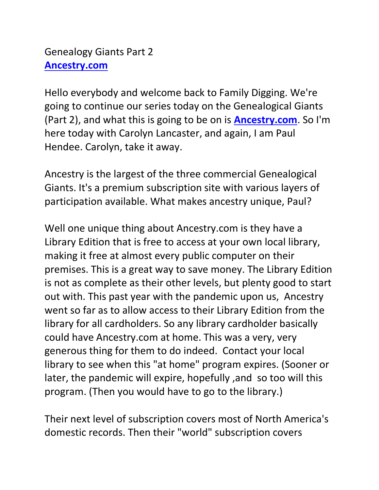Hello everybody and welcome back to Family Digging. We're going to continue our series today on the Genealogical Giants (Part 2), and what this is going to be on is **[Ancestry.com](https://ancestry.com/)**. So I'm here today with Carolyn Lancaster, and again, I am Paul Hendee. Carolyn, take it away.

Ancestry is the largest of the three commercial Genealogical Giants. It's a premium subscription site with various layers of participation available. What makes ancestry unique, Paul?

Well one unique thing about Ancestry.com is they have a Library Edition that is free to access at your own local library, making it free at almost every public computer on their premises. This is a great way to save money. The Library Edition is not as complete as their other levels, but plenty good to start out with. This past year with the pandemic upon us, Ancestry went so far as to allow access to their Library Edition from the library for all cardholders. So any library cardholder basically could have Ancestry.com at home. This was a very, very generous thing for them to do indeed. Contact your local library to see when this "at home" program expires. (Sooner or later, the pandemic will expire, hopefully ,and so too will this program. (Then you would have to go to the library.)

Their next level of subscription covers most of North America's domestic records. Then their "world" subscription covers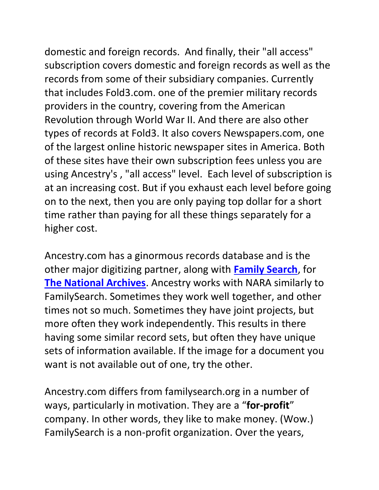domestic and foreign records. And finally, their "all access" subscription covers domestic and foreign records as well as the records from some of their subsidiary companies. Currently that includes Fold3.com. one of the premier military records providers in the country, covering from the American Revolution through World War II. And there are also other types of records at Fold3. It also covers Newspapers.com, one of the largest online historic newspaper sites in America. Both of these sites have their own subscription fees unless you are using Ancestry's , "all access" level. Each level of subscription is at an increasing cost. But if you exhaust each level before going on to the next, then you are only paying top dollar for a short time rather than paying for all these things separately for a higher cost.

Ancestry.com has a ginormous records database and is the other major digitizing partner, along with **[Family Search](https://familysearch.org/)**, for **[The National Archives](https://www.archives.gov/)**. Ancestry works with NARA similarly to FamilySearch. Sometimes they work well together, and other times not so much. Sometimes they have joint projects, but more often they work independently. This results in there having some similar record sets, but often they have unique sets of information available. If the image for a document you want is not available out of one, try the other.

Ancestry.com differs from familysearch.org in a number of ways, particularly in motivation. They are a "**for-profit**" company. In other words, they like to make money. (Wow.) FamilySearch is a non-profit organization. Over the years,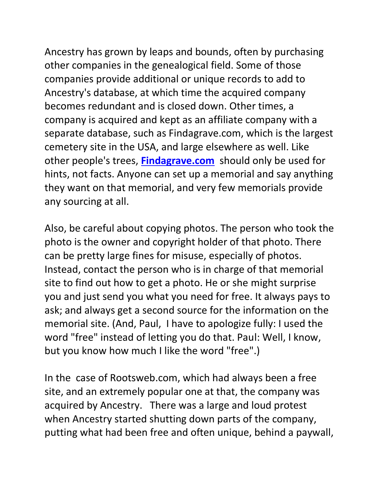Ancestry has grown by leaps and bounds, often by purchasing other companies in the genealogical field. Some of those companies provide additional or unique records to add to Ancestry's database, at which time the acquired company becomes redundant and is closed down. Other times, a company is acquired and kept as an affiliate company with a separate database, such as Findagrave.com, which is the largest cemetery site in the USA, and large elsewhere as well. Like other people's trees, **[Findagrave.com](https://findagrave.com/)** should only be used for hints, not facts. Anyone can set up a memorial and say anything they want on that memorial, and very few memorials provide any sourcing at all.

Also, be careful about copying photos. The person who took the photo is the owner and copyright holder of that photo. There can be pretty large fines for misuse, especially of photos. Instead, contact the person who is in charge of that memorial site to find out how to get a photo. He or she might surprise you and just send you what you need for free. It always pays to ask; and always get a second source for the information on the memorial site. (And, Paul, I have to apologize fully: I used the word "free" instead of letting you do that. Paul: Well, I know, but you know how much I like the word "free".)

In the case of Rootsweb.com, which had always been a free site, and an extremely popular one at that, the company was acquired by Ancestry. There was a large and loud protest when Ancestry started shutting down parts of the company, putting what had been free and often unique, behind a paywall,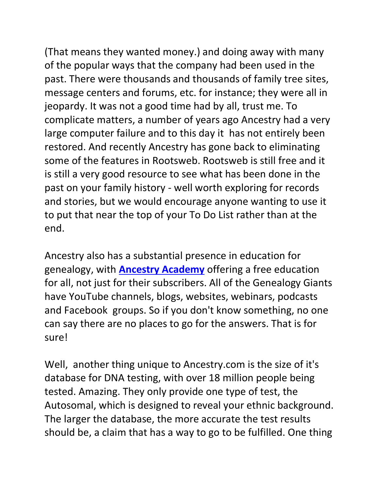(That means they wanted money.) and doing away with many of the popular ways that the company had been used in the past. There were thousands and thousands of family tree sites, message centers and forums, etc. for instance; they were all in jeopardy. It was not a good time had by all, trust me. To complicate matters, a number of years ago Ancestry had a very large computer failure and to this day it has not entirely been restored. And recently Ancestry has gone back to eliminating some of the features in Rootsweb. Rootsweb is still free and it is still a very good resource to see what has been done in the past on your family history - well worth exploring for records and stories, but we would encourage anyone wanting to use it to put that near the top of your To Do List rather than at the end.

Ancestry also has a substantial presence in education for genealogy, with **[Ancestry Academy](https://www.ancestryacademy.com/browse)** offering a free education for all, not just for their subscribers. All of the Genealogy Giants have YouTube channels, blogs, websites, webinars, podcasts and Facebook groups. So if you don't know something, no one can say there are no places to go for the answers. That is for sure!

Well, another thing unique to Ancestry.com is the size of it's database for DNA testing, with over 18 million people being tested. Amazing. They only provide one type of test, the Autosomal, which is designed to reveal your ethnic background. The larger the database, the more accurate the test results should be, a claim that has a way to go to be fulfilled. One thing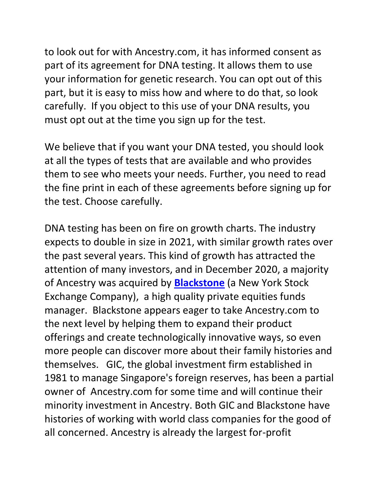to look out for with Ancestry.com, it has informed consent as part of its agreement for DNA testing. It allows them to use your information for genetic research. You can opt out of this part, but it is easy to miss how and where to do that, so look carefully. If you object to this use of your DNA results, you must opt out at the time you sign up for the test.

We believe that if you want your DNA tested, you should look at all the types of tests that are available and who provides them to see who meets your needs. Further, you need to read the fine print in each of these agreements before signing up for the test. Choose carefully.

DNA testing has been on fire on growth charts. The industry expects to double in size in 2021, with similar growth rates over the past several years. This kind of growth has attracted the attention of many investors, and in December 2020, a majority of Ancestry was acquired by **[Blackstone](https://www.blackstone.com/press-releases/article/blackstone-completes-acquisition-of-ancestry-leading-online-family-history-business-for-4-7-billion/)** (a New York Stock Exchange Company), a high quality private equities funds manager. Blackstone appears eager to take Ancestry.com to the next level by helping them to expand their product offerings and create technologically innovative ways, so even more people can discover more about their family histories and themselves. GIC, the global investment firm established in 1981 to manage Singapore's foreign reserves, has been a partial owner of Ancestry.com for some time and will continue their minority investment in Ancestry. Both GIC and Blackstone have histories of working with world class companies for the good of all concerned. Ancestry is already the largest for-profit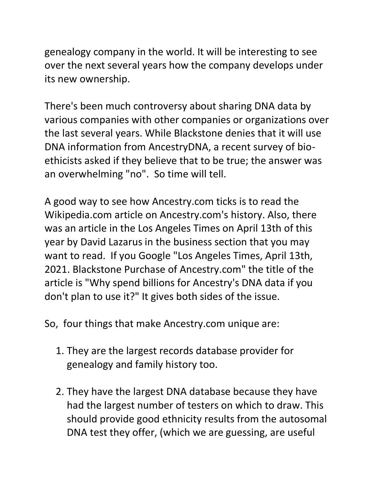genealogy company in the world. It will be interesting to see over the next several years how the company develops under its new ownership.

There's been much controversy about sharing DNA data by various companies with other companies or organizations over the last several years. While Blackstone denies that it will use DNA information from AncestryDNA, a recent survey of bioethicists asked if they believe that to be true; the answer was an overwhelming "no". So time will tell.

A good way to see how Ancestry.com ticks is to read the Wikipedia.com article on Ancestry.com's history. Also, there was an article in the Los Angeles Times on April 13th of this year by David Lazarus in the business section that you may want to read. If you Google "Los Angeles Times, April 13th, 2021. Blackstone Purchase of Ancestry.com" the title of the article is "Why spend billions for Ancestry's DNA data if you don't plan to use it?" It gives both sides of the issue.

So, four things that make Ancestry.com unique are:

- 1. They are the largest records database provider for genealogy and family history too.
- 2. They have the largest DNA database because they have had the largest number of testers on which to draw. This should provide good ethnicity results from the autosomal DNA test they offer, (which we are guessing, are useful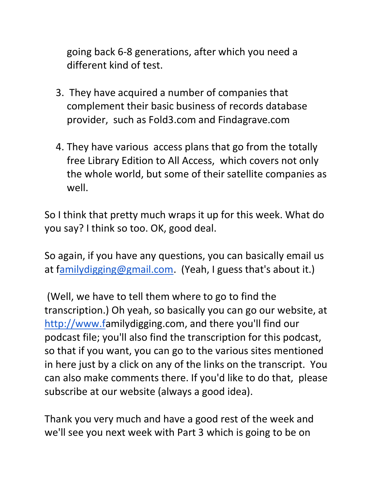going back 6-8 generations, after which you need a different kind of test.

- 3. They have acquired a number of companies that complement their basic business of records database provider, such as Fold3.com and Findagrave.com
- 4. They have various access plans that go from the totally free Library Edition to All Access, which covers not only the whole world, but some of their satellite companies as well.

So I think that pretty much wraps it up for this week. What do you say? I think so too. OK, good deal.

So again, if you have any questions, you can basically email us at [familydigging@gmail.com.](mailto:Familydigging@gmail.com) (Yeah, I guess that's about it.)

(Well, we have to tell them where to go to find the transcription.) Oh yeah, so basically you can go our website, at [http://www.fa](http://www.f/)milydigging.com, and there you'll find our podcast file; you'll also find the transcription for this podcast, so that if you want, you can go to the various sites mentioned in here just by a click on any of the links on the transcript. You can also make comments there. If you'd like to do that, please subscribe at our website (always a good idea).

Thank you very much and have a good rest of the week and we'll see you next week with Part 3 which is going to be on